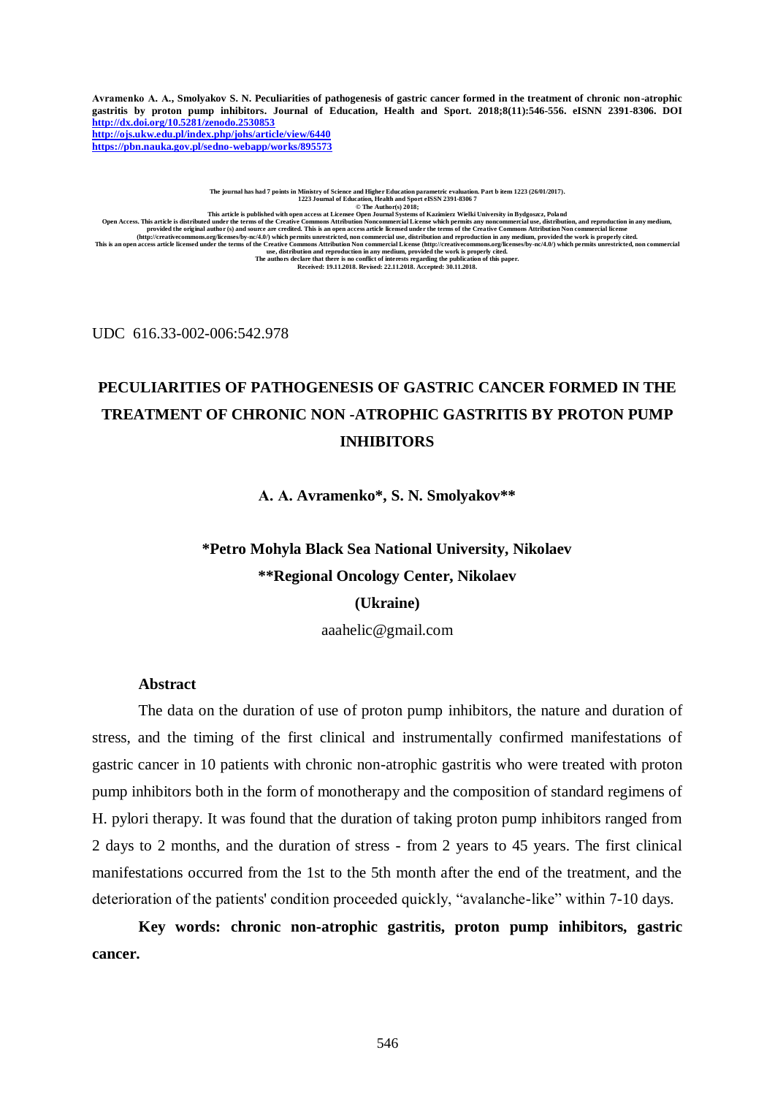**Avramenko А. А., Smolyakov S. N. Peculiarities of pathogenesis of gastric cancer formed in the treatment of chronic non-atrophic gastritis by proton pump inhibitors. Journal of Education, Health and Sport. 2018;8(11):546-556. eISNN 2391-8306. DOI <http://dx.doi.org/10.5281/zenodo.2530853> <http://ojs.ukw.edu.pl/index.php/johs/article/view/6440>**

**<https://pbn.nauka.gov.pl/sedno-webapp/works/895573>**

The journal has had 7 points in Ministry of Science and Higher Education parametric evaluation. Part b item 1223 (26/01/2017).<br>1223 Journal of Education, Health and Sport eISSN 2391-8306 7<br>© The Author(s) 2018; This article is distribute with open access at License Open Journal Systems of Kazimierz Wielki University in Bydgoszz, Poland<br>Open Access. This article is distributed under the terms of the Creative Commons Attribution No

UDC 616.33-002-006:542.978

## **PECULIARITIES OF PATHOGENESIS OF GASTRIC CANCER FORMED IN THE TREATMENT OF CHRONIC NON -ATROPHIC GASTRITIS BY PROTON PUMP INHIBITORS**

**А. А. Avramenko\*, S. N. Smolyakov\*\***

# **\*Petro Mohyla Black Sea National University, Nikolaev \*\*Regional Oncology Center, Nikolaev (Ukraine)**

[aaahelic@gmail.com](mailto:aaahelic@gmail.com)

#### **Abstract**

The data on the duration of use of proton pump inhibitors, the nature and duration of stress, and the timing of the first clinical and instrumentally confirmed manifestations of gastric cancer in 10 patients with chronic non-atrophic gastritis who were treated with proton pump inhibitors both in the form of monotherapy and the composition of standard regimens of H. pylori therapy. It was found that the duration of taking proton pump inhibitors ranged from 2 days to 2 months, and the duration of stress - from 2 years to 45 years. The first clinical manifestations occurred from the 1st to the 5th month after the end of the treatment, and the deterioration of the patients' condition proceeded quickly, "avalanche-like" within 7-10 days.

**Key words: chronic non-atrophic gastritis, proton pump inhibitors, gastric cancer.**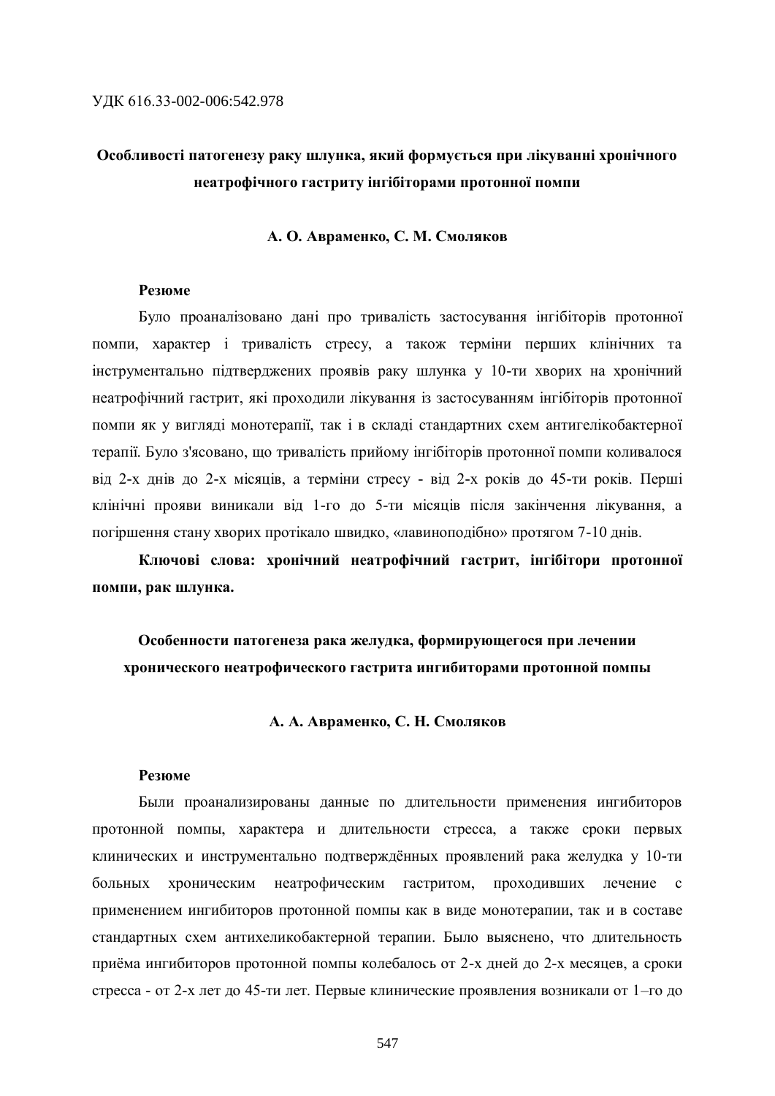### **Особливості патогенезу раку шлунка, який формується при лікуванні хронічного неатрофічного гастриту інгібіторами протонної помпи**

#### **А. О. Авраменко, С. М. Смоляков**

#### **Резюме**

Було проаналізовано дані про тривалість застосування інгібіторів протонної помпи, характер і тривалість стресу, а також терміни перших клінічних та інструментально підтверджених проявів раку шлунка у 10-ти хворих на хронічний неатрофічний гастрит, які проходили лікування із застосуванням інгібіторів протонної помпи як у вигляді монотерапії, так і в складі стандартних схем антигелікобактерної терапії. Було з'ясовано, що тривалість прийому інгібіторів протонної помпи коливалося від 2-х днів до 2-х місяців, а терміни стресу - від 2-х років до 45-ти років. Перші клінічні прояви виникали від 1-го до 5-ти місяців після закінчення лікування, а погіршення стану хворих протікало швидко, «лавиноподібно» протягом 7-10 днів.

**Ключові слова: хронічний неатрофічний гастрит, інгібітори протонної помпи, рак шлунка.**

### **Особенности патогенеза рака желудка, формирующегося при лечении хронического неатрофического гастрита ингибиторами протонной помпы**

#### **А. А. Авраменко, С. Н. Смоляков**

#### **Резюме**

Были проанализированы данные по длительности применения ингибиторов протонной помпы, характера и длительности стресса, а также сроки первых клинических и инструментально подтверждённых проявлений рака желудка у 10-ти больных хроническим неатрофическим гастритом, проходивших лечение с применением ингибиторов протонной помпы как в виде монотерапии, так и в составе стандартных схем антихеликобактерной терапии. Было выяснено, что длительность приёма ингибиторов протонной помпы колебалось от 2-х дней до 2-х месяцев, а сроки стресса - от 2-х лет до 45-ти лет. Первые клинические проявления возникали от 1–го до

547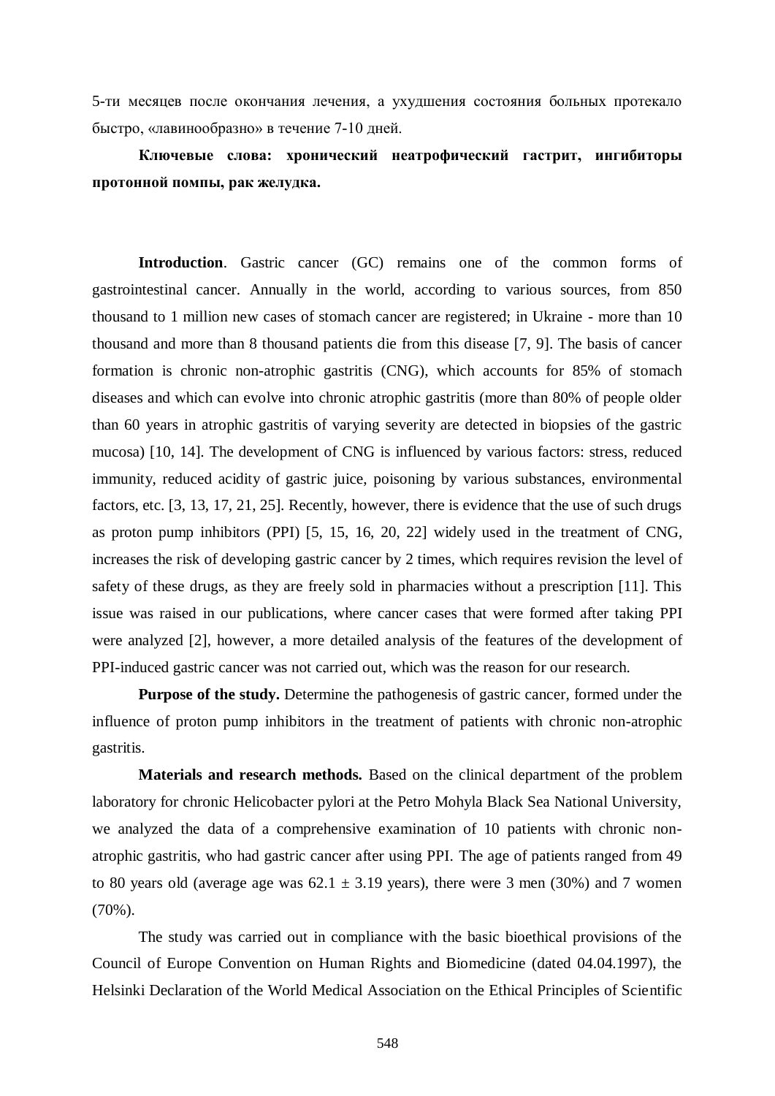5-ти месяцев после окончания лечения, а ухудшения состояния больных протекало быстро, «лавинообразно» в течение 7-10 дней.

**Ключевые слова: хронический неатрофический гастрит, ингибиторы протонной помпы, рак желудка.**

**Introduction**. Gastric cancer (GC) remains one of the common forms of gastrointestinal cancer. Annually in the world, according to various sources, from 850 thousand to 1 million new cases of stomach cancer are registered; in Ukraine - more than 10 thousand and more than 8 thousand patients die from this disease [7, 9]. The basis of cancer formation is chronic non-atrophic gastritis (CNG), which accounts for 85% of stomach diseases and which can evolve into chronic atrophic gastritis (more than 80% of people older than 60 years in atrophic gastritis of varying severity are detected in biopsies of the gastric mucosa) [10, 14]. The development of CNG is influenced by various factors: stress, reduced immunity, reduced acidity of gastric juice, poisoning by various substances, environmental factors, etc. [3, 13, 17, 21, 25]. Recently, however, there is evidence that the use of such drugs as proton pump inhibitors (PPI) [5, 15, 16, 20, 22] widely used in the treatment of CNG, increases the risk of developing gastric cancer by 2 times, which requires revision the level of safety of these drugs, as they are freely sold in pharmacies without a prescription [11]. This issue was raised in our publications, where cancer cases that were formed after taking PPI were analyzed [2], however, a more detailed analysis of the features of the development of PPI-induced gastric cancer was not carried out, which was the reason for our research.

**Purpose of the study.** Determine the pathogenesis of gastric cancer, formed under the influence of proton pump inhibitors in the treatment of patients with chronic non-atrophic gastritis.

**Materials and research methods.** Based on the clinical department of the problem laboratory for chronic Helicobacter pylori at the Petro Mohyla Black Sea National University, we analyzed the data of a comprehensive examination of 10 patients with chronic nonatrophic gastritis, who had gastric cancer after using PPI. The age of patients ranged from 49 to 80 years old (average age was  $62.1 \pm 3.19$  years), there were 3 men (30%) and 7 women (70%).

The study was carried out in compliance with the basic bioethical provisions of the Council of Europe Convention on Human Rights and Biomedicine (dated 04.04.1997), the Helsinki Declaration of the World Medical Association on the Ethical Principles of Scientific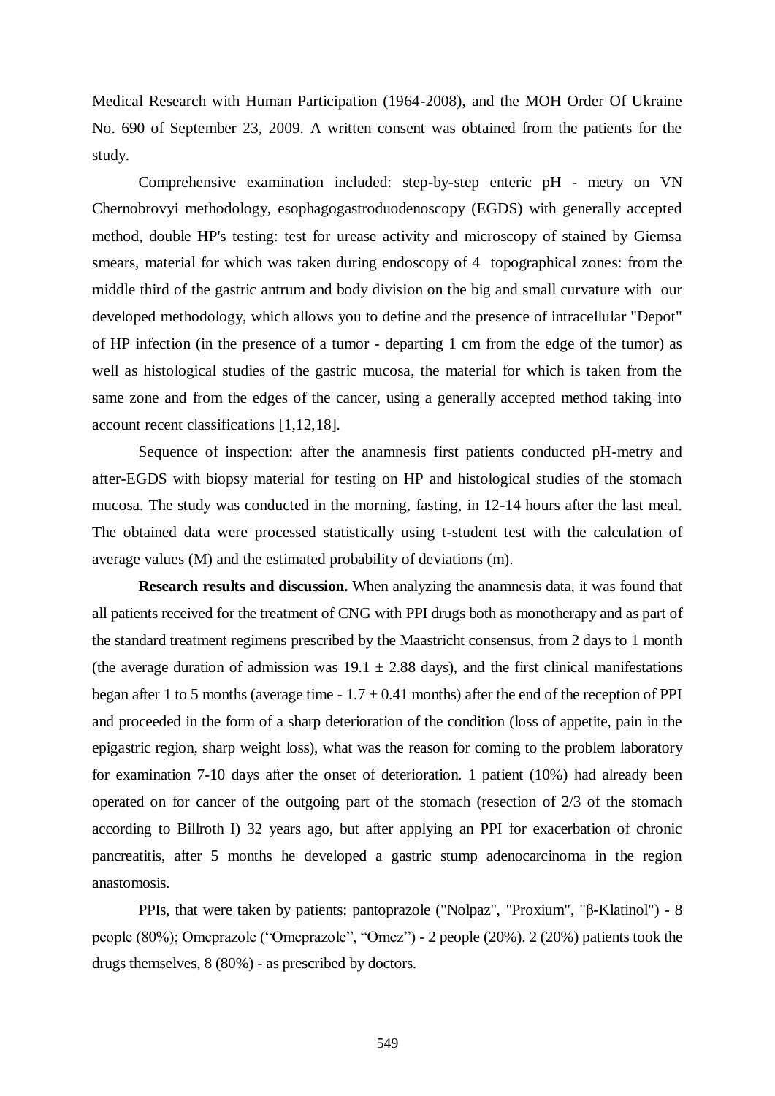Medical Research with Human Participation (1964-2008), and the MOH Order Of Ukraine No. 690 of September 23, 2009. A written consent was obtained from the patients for the study.

Comprehensive examination included: step-by-step enteric pH - metry on VN Chernobrovyi methodology, esophagogastroduodenoscopy (EGDS) with generally accepted method, double HP's testing: test for urease activity and microscopy of stained by Giemsa smears, material for which was taken during endoscopy of 4 topographical zones: from the middle third of the gastric antrum and body division on the big and small curvature with our developed methodology, which allows you to define and the presence of intracellular "Depot" of HP infection (in the presence of a tumor - departing 1 cm from the edge of the tumor) as well as histological studies of the gastric mucosa, the material for which is taken from the same zone and from the edges of the cancer, using a generally accepted method taking into account recent classifications [1,12,18].

Sequence of inspection: after the anamnesis first patients conducted pH-metry and after-EGDS with biopsy material for testing on HP and histological studies of the stomach mucosa. The study was conducted in the morning, fasting, in 12-14 hours after the last meal. The obtained data were processed statistically using t-student test with the calculation of average values (M) and the estimated probability of deviations (m).

**Research results and discussion.** When analyzing the anamnesis data, it was found that all patients received for the treatment of CNG with PPI drugs both as monotherapy and as part of the standard treatment regimens prescribed by the Maastricht consensus, from 2 days to 1 month (the average duration of admission was  $19.1 \pm 2.88$  days), and the first clinical manifestations began after 1 to 5 months (average time -  $1.7 \pm 0.41$  months) after the end of the reception of PPI and proceeded in the form of a sharp deterioration of the condition (loss of appetite, pain in the epigastric region, sharp weight loss), what was the reason for coming to the problem laboratory for examination 7-10 days after the onset of deterioration. 1 patient (10%) had already been operated on for cancer of the outgoing part of the stomach (resection of 2/3 of the stomach according to Billroth I) 32 years ago, but after applying an PPI for exacerbation of chronic pancreatitis, after 5 months he developed a gastric stump adenocarcinoma in the region anastomosis.

PPIs, that were taken by patients: pantoprazole ("Nolpaz", "Proxium", "β-Klatinol") - 8 people (80%); Omeprazole ("Omeprazole", "Omez") - 2 people (20%). 2 (20%) patients took the drugs themselves, 8 (80%) - as prescribed by doctors.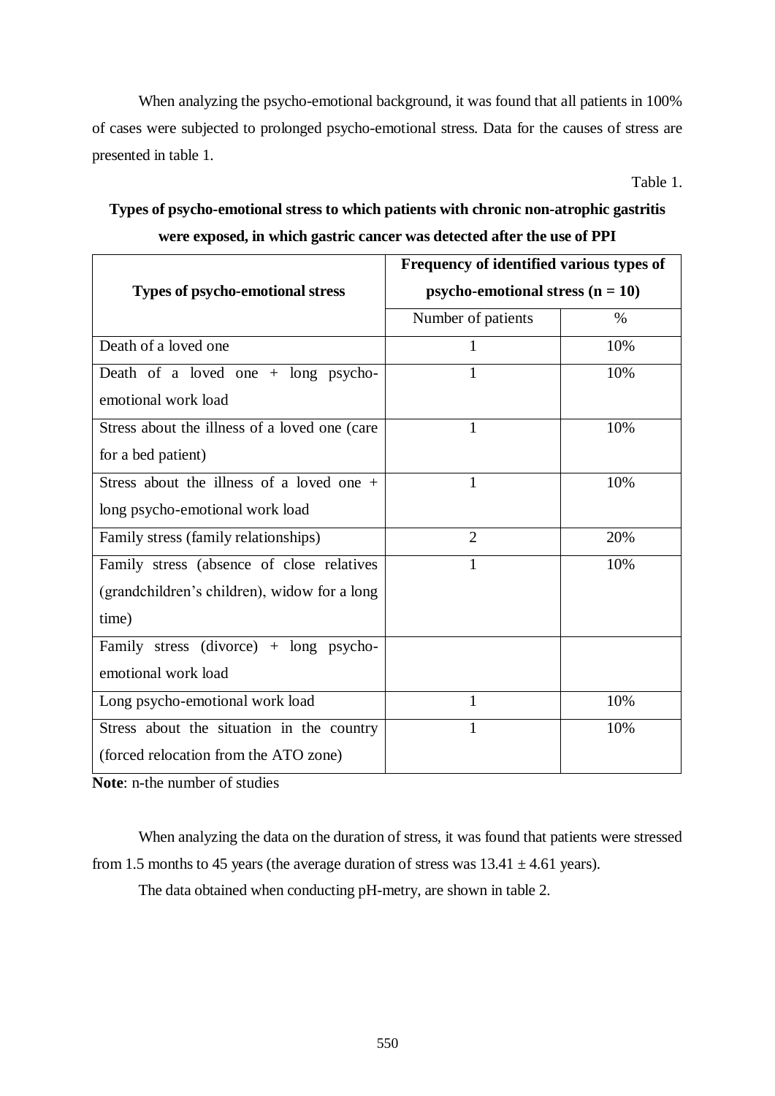When analyzing the psycho-emotional background, it was found that all patients in 100% of cases were subjected to prolonged psycho-emotional stress. Data for the causes of stress are presented in table 1.

Table 1.

### **Types of psycho-emotional stress to which patients with chronic non-atrophic gastritis were exposed, in which gastric cancer was detected after the use of PPI**

|                                               | Frequency of identified various types of<br>psycho-emotional stress $(n = 10)$ |      |
|-----------------------------------------------|--------------------------------------------------------------------------------|------|
| <b>Types of psycho-emotional stress</b>       |                                                                                |      |
|                                               | Number of patients                                                             | $\%$ |
| Death of a loved one                          | 1                                                                              | 10%  |
| Death of a loved one $+$ long psycho-         | 1                                                                              | 10%  |
| emotional work load                           |                                                                                |      |
| Stress about the illness of a loved one (care | 1                                                                              | 10%  |
| for a bed patient)                            |                                                                                |      |
| Stress about the illness of a loved one $+$   | $\mathbf{1}$                                                                   | 10%  |
| long psycho-emotional work load               |                                                                                |      |
| Family stress (family relationships)          | $\overline{2}$                                                                 | 20%  |
| Family stress (absence of close relatives     | $\mathbf{1}$                                                                   | 10%  |
| (grandchildren's children), widow for a long  |                                                                                |      |
| time)                                         |                                                                                |      |
| Family stress (divorce) $+$ long psycho-      |                                                                                |      |
| emotional work load                           |                                                                                |      |
| Long psycho-emotional work load               | 1                                                                              | 10%  |
| Stress about the situation in the country     | 1                                                                              | 10%  |
| (forced relocation from the ATO zone)         |                                                                                |      |

**Note**: n-the number of studies

When analyzing the data on the duration of stress, it was found that patients were stressed from 1.5 months to 45 years (the average duration of stress was  $13.41 \pm 4.61$  years).

The data obtained when conducting pH-metry, are shown in table 2.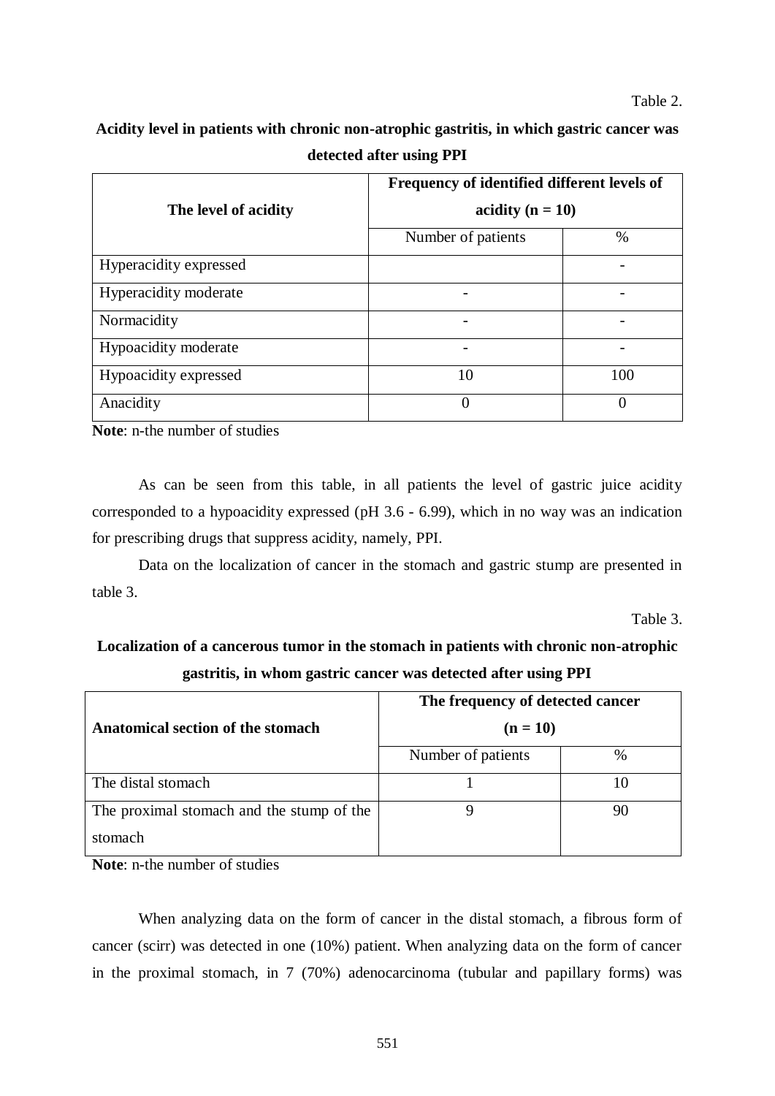**Acidity level in patients with chronic non-atrophic gastritis, in which gastric cancer was detected after using PPI**

|                        | Frequency of identified different levels of<br>acidity ( $n = 10$ ) |               |
|------------------------|---------------------------------------------------------------------|---------------|
| The level of acidity   |                                                                     |               |
|                        | Number of patients                                                  | $\%$          |
| Hyperacidity expressed |                                                                     |               |
| Hyperacidity moderate  |                                                                     |               |
| Normacidity            |                                                                     |               |
| Hypoacidity moderate   |                                                                     |               |
| Hypoacidity expressed  | 10                                                                  | 100           |
| Anacidity              | $\mathbf{\Omega}$                                                   | $\mathcal{L}$ |

**Note**: n-the number of studies

As can be seen from this table, in all patients the level of gastric juice acidity corresponded to a hypoacidity expressed (pH 3.6 - 6.99), which in no way was an indication for prescribing drugs that suppress acidity, namely, PPI.

Data on the localization of cancer in the stomach and gastric stump are presented in table 3.

Table 3.

### **Localization of a cancerous tumor in the stomach in patients with chronic non-atrophic gastritis, in whom gastric cancer was detected after using PPI**

|                                           | The frequency of detected cancer<br>$(n = 10)$ |    |
|-------------------------------------------|------------------------------------------------|----|
| Anatomical section of the stomach         |                                                |    |
|                                           | Number of patients                             | %  |
| The distal stomach                        |                                                |    |
| The proximal stomach and the stump of the |                                                | 90 |
| stomach                                   |                                                |    |

**Note**: n-the number of studies

When analyzing data on the form of cancer in the distal stomach, a fibrous form of cancer (scirr) was detected in one (10%) patient. When analyzing data on the form of cancer in the proximal stomach, in 7 (70%) adenocarcinoma (tubular and papillary forms) was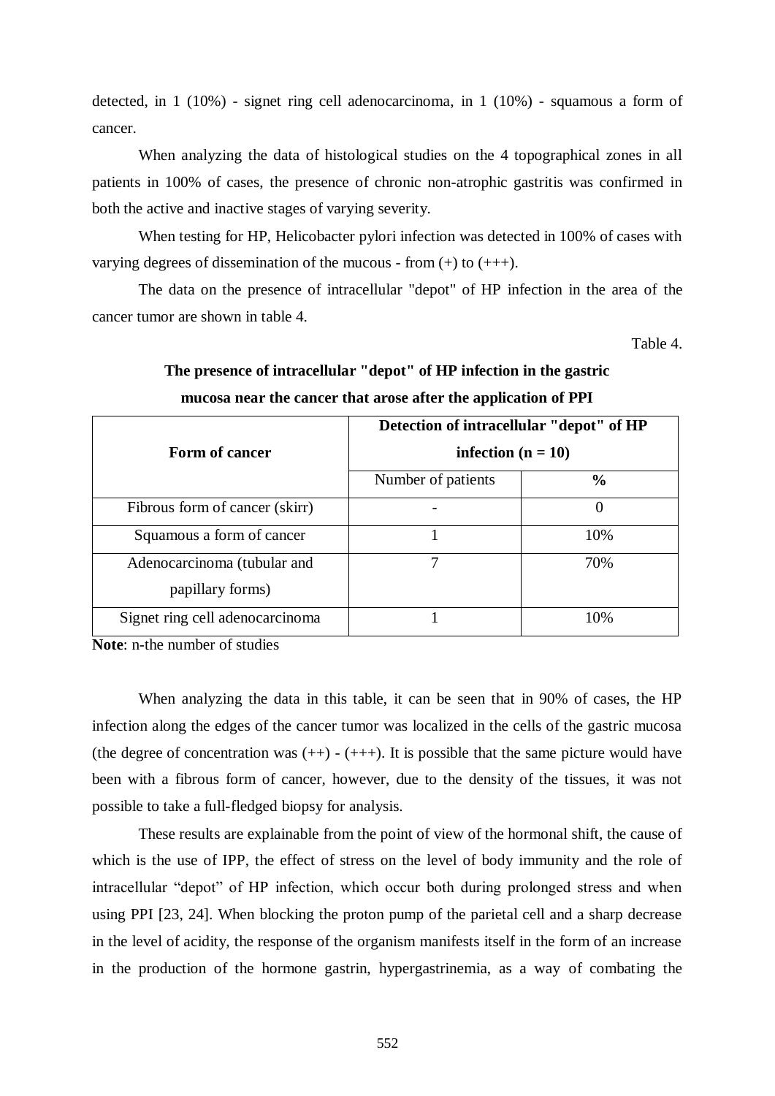detected, in 1 (10%) - signet ring cell adenocarcinoma, in 1 (10%) - squamous a form of cancer.

When analyzing the data of histological studies on the 4 topographical zones in all patients in 100% of cases, the presence of chronic non-atrophic gastritis was confirmed in both the active and inactive stages of varying severity.

When testing for HP, Helicobacter pylori infection was detected in 100% of cases with varying degrees of dissemination of the mucous - from  $(+)$  to  $(++)$ .

The data on the presence of intracellular "depot" of HP infection in the area of the cancer tumor are shown in table 4.

Table 4.

| Form of cancer                                  | Detection of intracellular "depot" of HP<br>infection ( $n = 10$ ) |               |
|-------------------------------------------------|--------------------------------------------------------------------|---------------|
|                                                 | Number of patients                                                 | $\frac{6}{9}$ |
| Fibrous form of cancer (skirr)                  |                                                                    | $\theta$      |
| Squamous a form of cancer                       |                                                                    | 10%           |
| Adenocarcinoma (tubular and<br>papillary forms) |                                                                    | 70%           |
| Signet ring cell adenocarcinoma                 |                                                                    | 10%           |

### **The presence of intracellular "depot" of HP infection in the gastric mucosa near the cancer that arose after the application of PPI**

**Note**: n-the number of studies

When analyzing the data in this table, it can be seen that in 90% of cases, the HP infection along the edges of the cancer tumor was localized in the cells of the gastric mucosa (the degree of concentration was  $(++)$  -  $(++)$ ). It is possible that the same picture would have been with a fibrous form of cancer, however, due to the density of the tissues, it was not possible to take a full-fledged biopsy for analysis.

These results are explainable from the point of view of the hormonal shift, the cause of which is the use of IPP, the effect of stress on the level of body immunity and the role of intracellular "depot" of HP infection, which occur both during prolonged stress and when using PPI [23, 24]. When blocking the proton pump of the parietal cell and a sharp decrease in the level of acidity, the response of the organism manifests itself in the form of an increase in the production of the hormone gastrin, hypergastrinemia, as a way of combating the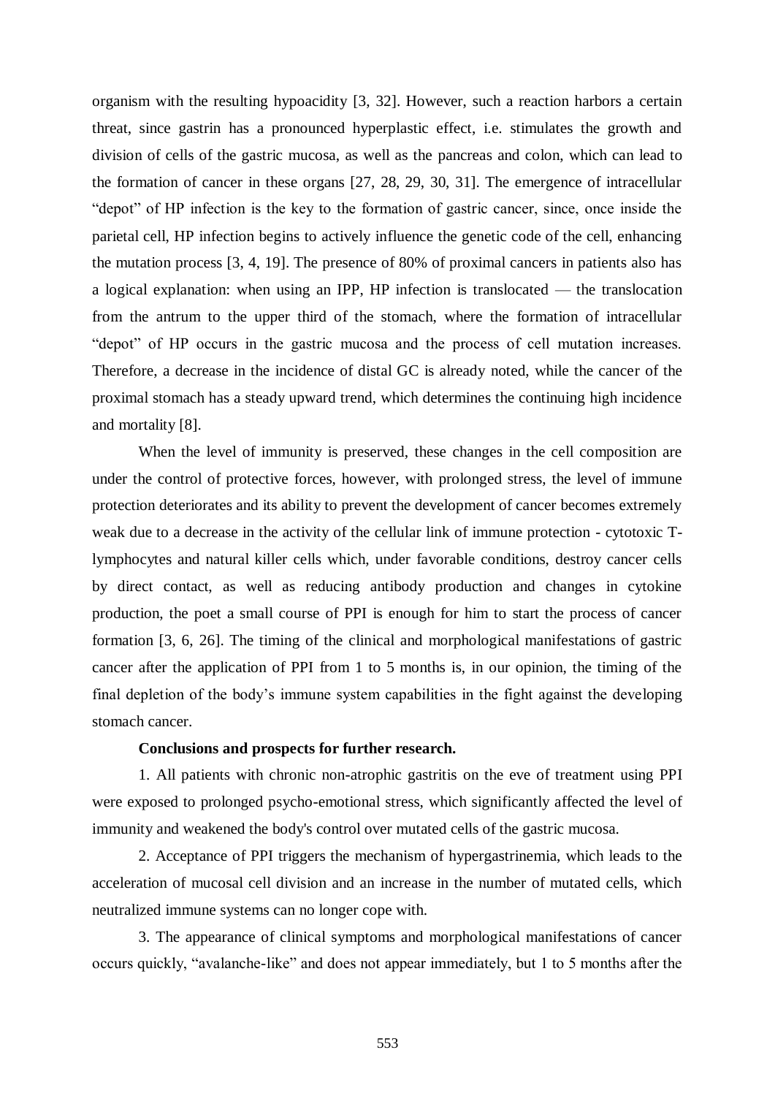organism with the resulting hypoacidity [3, 32]. However, such a reaction harbors a certain threat, since gastrin has a pronounced hyperplastic effect, i.e. stimulates the growth and division of cells of the gastric mucosa, as well as the pancreas and colon, which can lead to the formation of cancer in these organs [27, 28, 29, 30, 31]. The emergence of intracellular "depot" of HP infection is the key to the formation of gastric cancer, since, once inside the parietal cell, HP infection begins to actively influence the genetic code of the cell, enhancing the mutation process [3, 4, 19]. The presence of 80% of proximal cancers in patients also has a logical explanation: when using an IPP, HP infection is translocated — the translocation from the antrum to the upper third of the stomach, where the formation of intracellular "depot" of HP occurs in the gastric mucosa and the process of cell mutation increases. Therefore, a decrease in the incidence of distal GC is already noted, while the cancer of the proximal stomach has a steady upward trend, which determines the continuing high incidence and mortality [8].

When the level of immunity is preserved, these changes in the cell composition are under the control of protective forces, however, with prolonged stress, the level of immune protection deteriorates and its ability to prevent the development of cancer becomes extremely weak due to a decrease in the activity of the cellular link of immune protection - cytotoxic Tlymphocytes and natural killer cells which, under favorable conditions, destroy cancer cells by direct contact, as well as reducing antibody production and changes in cytokine production, the poet a small course of PPI is enough for him to start the process of cancer formation [3, 6, 26]. The timing of the clinical and morphological manifestations of gastric cancer after the application of PPI from 1 to 5 months is, in our opinion, the timing of the final depletion of the body's immune system capabilities in the fight against the developing stomach cancer.

#### **Conclusions and prospects for further research.**

1. All patients with chronic non-atrophic gastritis on the eve of treatment using PPI were exposed to prolonged psycho-emotional stress, which significantly affected the level of immunity and weakened the body's control over mutated cells of the gastric mucosa.

2. Acceptance of PPI triggers the mechanism of hypergastrinemia, which leads to the acceleration of mucosal cell division and an increase in the number of mutated cells, which neutralized immune systems can no longer cope with.

3. The appearance of clinical symptoms and morphological manifestations of cancer occurs quickly, "avalanche-like" and does not appear immediately, but 1 to 5 months after the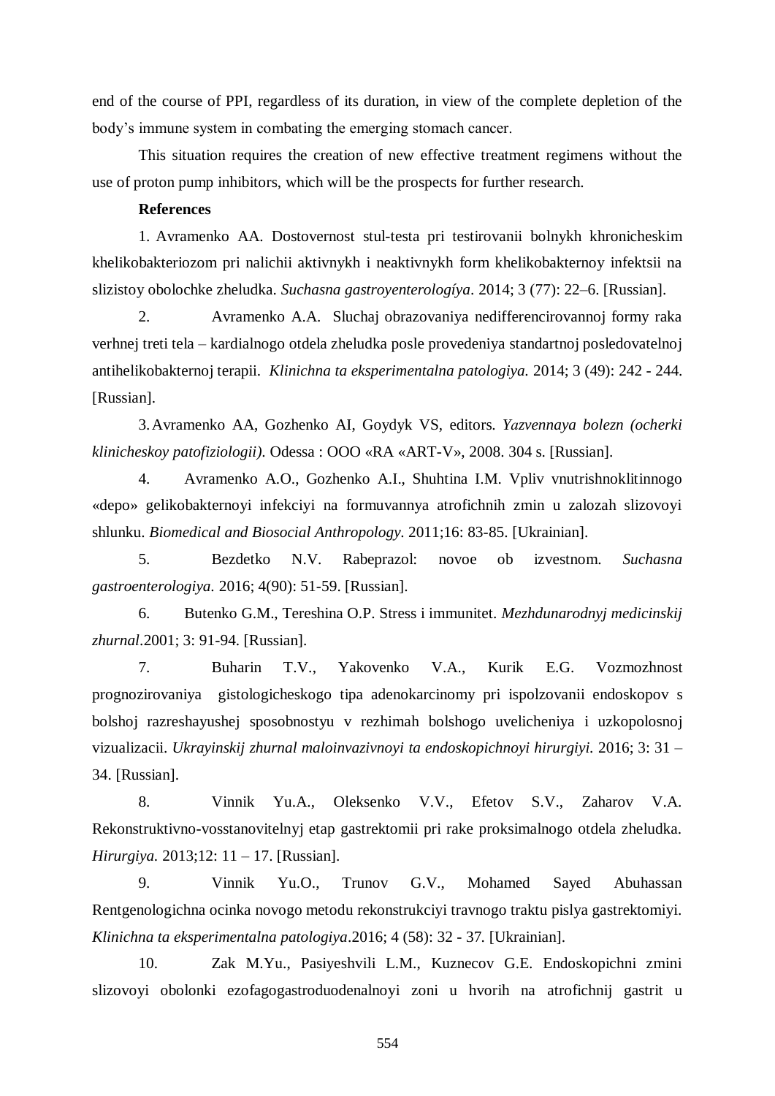end of the course of PPI, regardless of its duration, in view of the complete depletion of the body's immune system in combating the emerging stomach cancer.

This situation requires the creation of new effective treatment regimens without the use of proton pump inhibitors, which will be the prospects for further research.

#### **References**

1. Avramenko AA. Dostovernost stul-testa pri testirovanii bolnykh khronicheskim khelikobakteriozom pri nalichii aktivnykh i neaktivnykh form khelikobakternoy infektsii na slizistoy obolochke zheludka. *Suchasna gastroyenterologíya*. 2014; 3 (77): 22–6. [Russian].

2. Avramenko A.A. Sluchaj obrazovaniya nedifferencirovannoj formy raka verhnej treti tela – kardialnogo otdela zheludka posle provedeniya standartnoj posledovatelnoj antihelikobakternoj terapii. *Klinichna ta eksperimentalna patologiya.* 2014; 3 (49): 242 - 244. [Russian].

3.Avramenko AA, Gozhenko AI, Goydyk VS, editors. *Yаzvennaya bolezn (ocherki klinicheskoy patofiziologii)*. Odessa : OOO «RA «ART-V», 2008. 304 s. [Russian].

4. Avramenko A.O., Gozhenko A.I., Shuhtina I.M. Vpliv vnutrishnoklitinnogo «depo» gelikobakternoyi infekciyi na formuvannya atrofichnih zmin u zalozah slizovoyi shlunku. *Biomedical and Biosocial Anthropology.* 2011;16: 83-85. [Ukrainian].

5. Bezdetko N.V. Rabeprazol: novoe ob izvestnom. *Suchasna gastroenterologiya.* 2016; 4(90): 51-59. [Russian].

6. Butenko G.M., Tereshina O.P. Stress i immunitet. *Mezhdunarodnyj medicinskij zhurnal*.2001; 3: 91-94. [Russian].

7. Buharin T.V., Yakovenko V.A., Kurik E.G. Vozmozhnost prognozirovaniya gistologicheskogo tipa adenokarcinomy pri ispolzovanii endoskopov s bolshoj razreshayushej sposobnostyu v rezhimah bolshogo uvelicheniya i uzkopolosnoj vizualizacii. *Ukrayinskij zhurnal maloinvazivnoyi ta endoskopichnoyi hirurgiyi.* 2016; 3: 31 – 34. [Russian].

8. Vinnik Yu.A., Oleksenko V.V., Efetov S.V., Zaharov V.A. Rekonstruktivno-vosstanovitelnyj etap gastrektomii pri rake proksimalnogo otdela zheludka. *Hirurgiya.* 2013;12: 11 – 17. [Russian].

9. Vinnik Yu.O., Trunov G.V., Mohamed Sayed Abuhassan Rentgenologichna ocinka novogo metodu rekonstrukciyi travnogo traktu pislya gastrektomiyi. *Klinichna ta eksperimentalna patologiya*.2016; 4 (58): 32 - 37*.* [Ukrainian].

10. Zak M.Yu., Pasiyeshvili L.M., Kuznecov G.E. Endoskopichni zmini slizovoyi obolonki ezofagogastroduodenalnoyi zoni u hvorih na atrofichnij gastrit u

554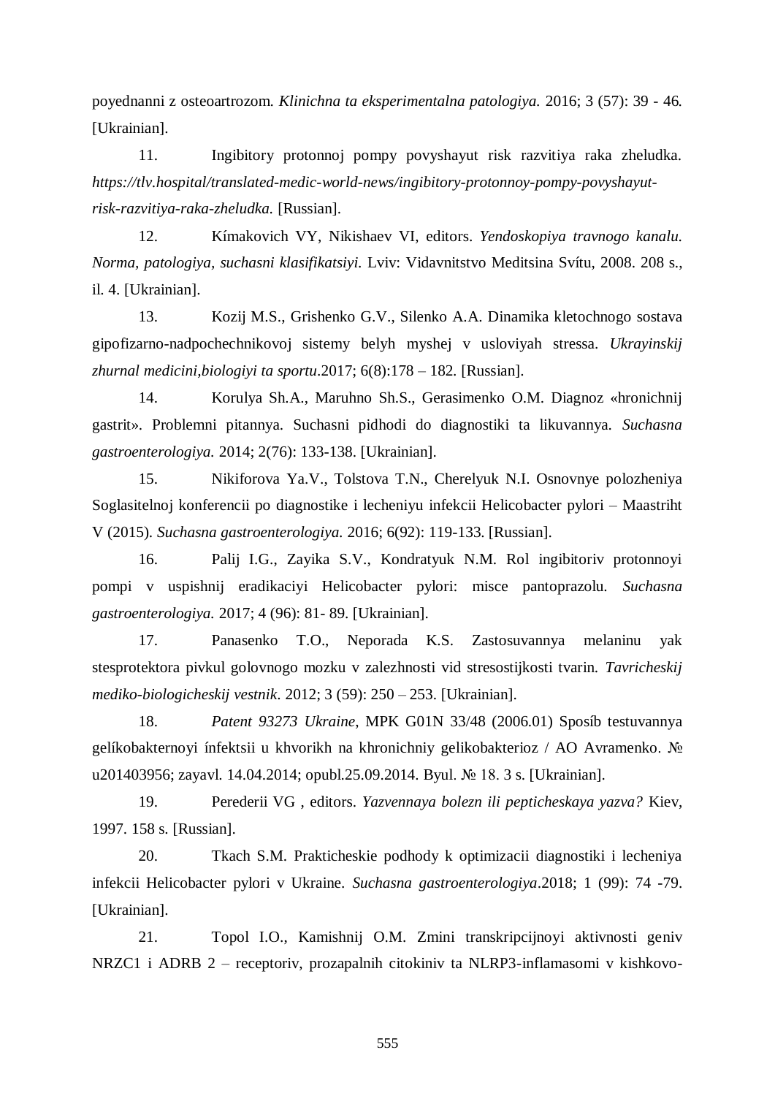poyednanni z osteoartrozom. *Klinichna ta eksperimentalna patologiya.* 2016; 3 (57): 39 - 46*.*  [Ukrainian].

11. Ingibitory protonnoj pompy povyshayut risk razvitiya raka zheludka. *[https://tlv.hospital/translated-medic-world-news/ingibitory-protonnoy-pompy-povyshayut](https://tlv.hospital/translated-medic-world-news/ingibitory-protonnoy-pompy-povyshayut-risk-razvitiya-raka-zheludka)[risk-razvitiya-raka-zheludka.](https://tlv.hospital/translated-medic-world-news/ingibitory-protonnoy-pompy-povyshayut-risk-razvitiya-raka-zheludka)* [Russian].

12. Kímakovich VY, Nikishaev VI, editors. *Yendoskopiya travnogo kanalu. Norma, patologiya, suchasni klasifikatsiyi.* Lviv: Vidavnitstvo Meditsina Svítu, 2008. 208 s., il. 4. [Ukrainian].

13. Kozij M.S., Grishenko G.V., Silenko A.A. Dinamika kletochnogo sostava gipofizarno-nadpochechnikovoj sistemy belyh myshej v usloviyah stressa. *Ukrayinskij zhurnal medicini,biologiyi ta sportu*.2017; 6(8):178 – 182. [Russian].

14. Korulya Sh.A., Maruhno Sh.S., Gerasimenko O.M. Diagnoz «hronichnij gastrit». Problemni pitannya. Suchasni pidhodi do diagnostiki ta likuvannya. *Suchasna gastroenterologiya.* 2014; 2(76): 133-138. [Ukrainian].

15. Nikiforova Ya.V., Tolstova T.N., Cherelyuk N.I. Osnovnye polozheniya Soglasitelnoj konferencii po diagnostike i lecheniyu infekcii Helicobacter pylori – Maastriht V (2015). *Suchasna gastroenterologiya.* 2016; 6(92): 119-133. [Russian].

16. Palij I.G., Zayika S.V., Kondratyuk N.M. Rol ingibitoriv protonnoyi pompi v uspishnij eradikaciyi Helicobacter pylori: misce pantoprazolu. *Suchasna gastroenterologiya.* 2017; 4 (96): 81- 89. [Ukrainian].

17. Panasenko T.O., Neporada K.S. Zastosuvannya melaninu yak stesprotektora pivkul golovnogo mozku v zalezhnosti vid stresostijkosti tvarin. *Tavricheskij mediko-biologicheskij vestnik*. 2012; 3 (59): 250 – 253. [Ukrainian].

18. *Patent 93273 Ukraine*, MPK G01N 33/48 (2006.01) Sposíb testuvannya gelíkobakternoyi ínfektsii u khvorikh na khronichniy gelikobakterioz / AO Avramenko. № u201403956; zayavl. 14.04.2014; opubl.25.09.2014. Byul. № 18. 3 s. [Ukrainian].

19. Perederii VG , editors. *Yazvennaya bolezn ili pepticheskaya yazva?* Kiev, 1997. 158 s. [Russian].

20. Tkach S.M. Prakticheskie podhody k optimizacii diagnostiki i lecheniya infekcii Helicobacter pylori v Ukraine. *Suchasna gastroenterologiya*.2018; 1 (99): 74 -79. [Ukrainian].

21. Topol I.O., Kamishnij O.M. Zmini transkripcijnoyi aktivnosti geniv NRZC1 i ADRB 2 – receptoriv, prozapalnih citokiniv ta NLRP3-inflamasomi v kishkovo